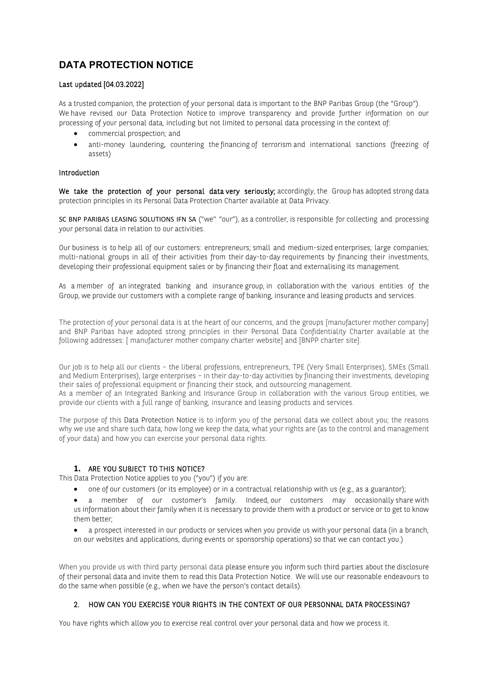# **DATA PROTECTION NOTICE**

## Last updated [04.03.2022]

As a trusted companion, the protection of your personal data is important to the BNP Paribas Group (the "Group"). We have revised our Data Protection Notice to improve transparency and provide further information on our processing of your personal data, including but not limited to personal data processing in the context of:

- commercial prospection; and
- anti-money laundering, countering the financing of terrorism and international sanctions (freezing of assets)

#### Introduction

We take the protection of your personal data very seriously; accordingly, the Group has adopted strong data protection principles in its Personal Data Protection Charter available at Data Privacy.

SC BNP PARIBAS LEASING SOLUTIONS IFN SA ("we" "our"), as a controller, is responsible for collecting and processing your personal data in relation to our activities.

Our business is to help all of our customers: entrepreneurs; small and medium-sized enterprises; large companies; multi-national groups in all of their activities from their day-to-day requirements by financing their investments, developing their professional equipment sales or by financing their float and externalising its management.

As a member of an integrated banking and insurance group, in collaboration with the various entities of the Group, we provide our customers with a complete range of banking, insurance and leasing products and services.

The protection of your personal data is at the heart of our concerns, and the groups [manufacturer mother company] and BNP Paribas have adopted strong principles in their Personal Data Confidentiality Charter available at the following addresses: [ manufacturer mother company charter website] and [BNPP charter site].

Our job is to help all our clients – the liberal professions, entrepreneurs, TPE (Very Small Enterprises), SMEs (Small and Medium Enterprises), large enterprises – in their day-to-day activities by financing their investments, developing their sales of professional equipment or financing their stock, and outsourcing management. As a member of an Integrated Banking and Insurance Group in collaboration with the various Group entities, we provide our clients with a full range of banking, insurance and leasing products and services.

The purpose of this Data Protection Notice is to inform you of the personal data we collect about you; the reasons why we use and share such data; how long we keep the data; what your rights are (as to the control and management of your data) and how you can exercise your personal data rights.

# **1.** ARE YOU SUBJECT TO THIS NOTICE?

This Data Protection Notice applies to you ("you") if you are:

- one of our customers (or its employee) or in a contractual relationship with us (e.g., as a guarantor);
- a member of our customer's family. Indeed, our customers may occasionally share with us information about their family when it is necessary to provide them with a product or service or to get to know them better;
- a prospect interested in our products or services when you provide us with your personal data (in a branch, on our websites and applications, during events or sponsorship operations) so that we can contact you.)

When you provide us with third party personal data please ensure you inform such third parties about the disclosure of their personal data and invite them to read this Data Protection Notice. We will use our reasonable endeavours to do the same when possible (e.g., when we have the person's contact details).

# 2. HOW CAN YOU EXERCISE YOUR RIGHTS IN THE CONTEXT OF OUR PERSONNAL DATA PROCESSING?

You have rights which allow you to exercise real control over your personal data and how we process it.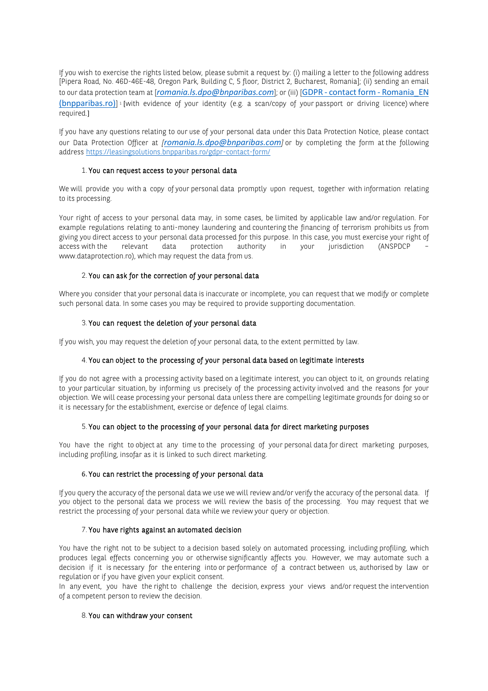If you wish to exercise the rights listed below, please submit a request by: (i) mailing a letter to the following address [Pipera Road, No. 46D-46E-48, Oregon Park, Building C, 5 floor, District 2, Bucharest, Romania]; (ii) sending an email to our data protection team at [*romania.ls.dpo@bnparibas.com*]; or (iii) [GDPR - [contact form -](https://leasingsolutions.bnpparibas.ro/gdpr-contact-form/) Romania\_EN [\(bnpparibas.ro\)](https://leasingsolutions.bnpparibas.ro/gdpr-contact-form/)] i [with evidence of your identity (e.g. a scan/copy of your passport or driving licence) where required.]

If you have any questions relating to our use of your personal data under this Data Protection Notice, please contact our Data Protection Officer at *[romania.ls.dpo@bnparibas.com]* or by completing the form at the following address <https://leasingsolutions.bnpparibas.ro/gdpr-contact-form/>

#### 1. You can request access to your personal data

We will provide you with a copy of your personal data promptly upon request, together with information relating to its processing.

Your right of access to your personal data may, in some cases, be limited by applicable law and/or regulation. For example regulations relating to anti-money laundering and countering the financing of terrorism prohibits us from giving you direct access to your personal data processed for this purpose. In this case, you must exercise your right of access with the relevant data protection authority in your jurisdiction (ANSPDCP – www.dataprotection.ro), which may request the data from us.

## 2. You can ask for the correction of your personal data

Where you consider that your personal data is inaccurate or incomplete, you can request that we modify or complete such personal data. In some cases you may be required to provide supporting documentation.

## 3. You can request the deletion of your personal data

If you wish, you may request the deletion of your personal data, to the extent permitted by law.

#### 4. You can object to the processing of your personal data based on legitimate interests

If you do not agree with a processing activity based on a legitimate interest, you can object to it, on grounds relating to your particular situation, by informing us precisely of the processing activity involved and the reasons for your objection. We will cease processing your personal data unless there are compelling legitimate grounds for doing so or it is necessary for the establishment, exercise or defence of legal claims.

## 5. You can object to the processing of your personal data for direct marketing purposes

You have the right to object at any time to the processing of your personal data for direct marketing purposes, including profiling, insofar as it is linked to such direct marketing.

#### 6. You can restrict the processing of your personal data

If you query the accuracy of the personal data we use we will review and/or verify the accuracy of the personal data. If you object to the personal data we process we will review the basis of the processing. You may request that we restrict the processing of your personal data while we review your query or objection.

#### 7. You have rights against an automated decision

You have the right not to be subject to a decision based solely on automated processing, including profiling, which produces legal effects concerning you or otherwise significantly affects you. However, we may automate such a decision if it is necessary for the entering into or performance of a contract between us, authorised by law or regulation or if you have given your explicit consent.

In any event, you have the right to challenge the decision, express your views and/or request the intervention of a competent person to review the decision.

## 8. You can withdraw your consent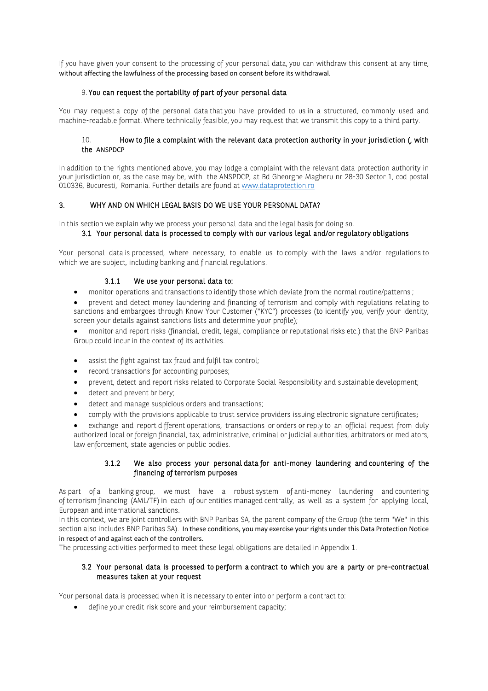If you have given your consent to the processing of your personal data, you can withdraw this consent at any time, without affecting the lawfulness of the processing based on consent before its withdrawal.

## 9. You can request the portability of part of your personal data

You may request a copy of the personal data that you have provided to us in a structured, commonly used and machine-readable format. Where technically feasible, you may request that we transmit this copy to a third party.

## 10. How to file a complaint with the relevant data protection authority in your jurisdiction (, with the ANSPDCP

In addition to the rights mentioned above, you may lodge a complaint with the relevant data protection authority in your jurisdiction or, as the case may be, with the ANSPDCP, at Bd Gheorghe Magheru nr 28-30 Sector 1, cod postal 010336, Bucuresti, Romania. Further details are found at [www.dataprotection.ro](https://ico.org.uk/)

## 3. WHY AND ON WHICH LEGAL BASIS DO WE USE YOUR PERSONAL DATA?

In this section we explain why we process your personal data and the legal basis for doing so.

## 3.1 Your personal data is processed to comply with our various legal and/or regulatory obligations

Your personal data is processed, where necessary, to enable us to comply with the laws and/or regulations to which we are subject, including banking and financial regulations.

## 3.1.1 We use your personal data to:

• monitor operations and transactions to identify those which deviate from the normal routine/patterns ;

• prevent and detect money laundering and financing of terrorism and comply with regulations relating to sanctions and embargoes through Know Your Customer ("KYC") processes (to identify you, verify your identity, screen your details against sanctions lists and determine your profile);

• monitor and report risks (financial, credit, legal, compliance or reputational risks etc.) that the BNP Paribas Group could incur in the context of its activities.

- assist the fight against tax fraud and fulfil tax control;
- record transactions for accounting purposes;
- prevent, detect and report risks related to Corporate Social Responsibility and sustainable development;
- detect and prevent bribery;
- detect and manage suspicious orders and transactions;
- comply with the provisions applicable to trust service providers issuing electronic signature certificates;
- exchange and report different operations, transactions or orders or reply to an official request from duly authorized local or foreign financial, tax, administrative, criminal or judicial authorities, arbitrators or mediators, law enforcement, state agencies or public bodies.

#### 3.1.2 We also process your personal data for anti-money laundering and countering of the financing of terrorism purposes

As part of a banking group, we must have a robust system of anti-money laundering and countering of terrorism financing (AML/TF) in each of our entities managed centrally, as well as a system for applying local, European and international sanctions.

In this context, we are joint controllers with BNP Paribas SA, the parent company of the Group (the term "We" in this section also includes BNP Paribas SA). In these conditions, you may exercise your rights under this Data Protection Notice in respect of and against each of the controllers.

The processing activities performed to meet these legal obligations are detailed in Appendix 1.

## 3.2 Your personal data is processed to perform a contract to which you are a party or pre-contractual measures taken at your request

Your personal data is processed when it is necessary to enter into or perform a contract to:

define your credit risk score and your reimbursement capacity;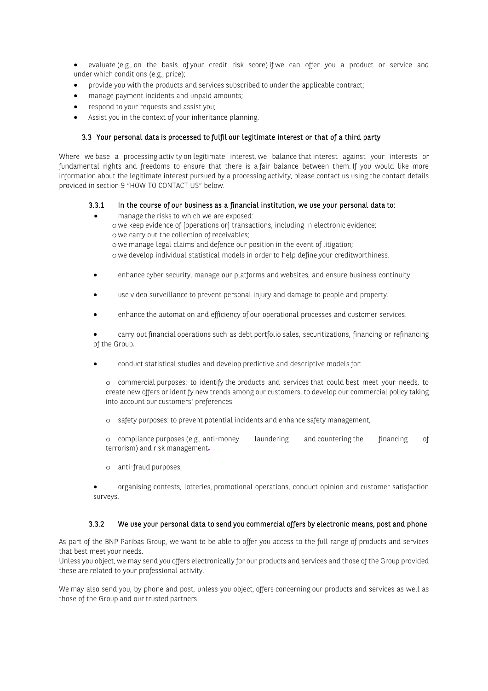- evaluate (e.g., on the basis of your credit risk score) if we can offer you a product or service and under which conditions (e.g., price);
- provide you with the products and services subscribed to under the applicable contract;
- manage payment incidents and unpaid amounts;
- respond to your requests and assist you;
- Assist you in the context of your inheritance planning.

#### 3.3 Your personal data is processed to fulfil our legitimate interest or that of a third party

Where we base a processing activity on legitimate interest, we balance that interest against your interests or fundamental rights and freedoms to ensure that there is a fair balance between them. If you would like more information about the legitimate interest pursued by a processing activity, please contact us using the contact details provided in section 9 "HOW TO CONTACT US" below.

#### 3.3.1 In the course of our business as a financial institution, we use your personal data to:

- manage the risks to which we are exposed: o we keep evidence of [operations or] transactions, including in electronic evidence; o we carry out the collection of receivables; o we manage legal claims and defence our position in the event of litigation; o we develop individual statistical models in order to help define your creditworthiness.
- enhance cyber security, manage our platforms and websites, and ensure business continuity.
- use video surveillance to prevent personal injury and damage to people and property.
- enhance the automation and efficiency of our operational processes and customer services.

• carry out financial operations such as debt portfolio sales, securitizations, financing or refinancing of the Group.

• conduct statistical studies and develop predictive and descriptive models for:

o commercial purposes: to identify the products and services that could best meet your needs, to create new offers or identify new trends among our customers, to develop our commercial policy taking into account our customers' preferences

o safety purposes: to prevent potential incidents and enhance safety management;

o compliance purposes (e.g., anti-money laundering and countering the financing of terrorism) and risk management.

- o anti-fraud purposes.
- organising contests, lotteries, promotional operations, conduct opinion and customer satisfaction surveys.

#### 3.3.2 We use your personal data to send you commercial offers by electronic means, post and phone

As part of the BNP Paribas Group, we want to be able to offer you access to the full range of products and services that best meet your needs.

Unless you object, we may send you offers electronically for our products and services and those of the Group provided these are related to your professional activity.

We may also send you, by phone and post, unless you object, offers concerning our products and services as well as those of the Group and our trusted partners.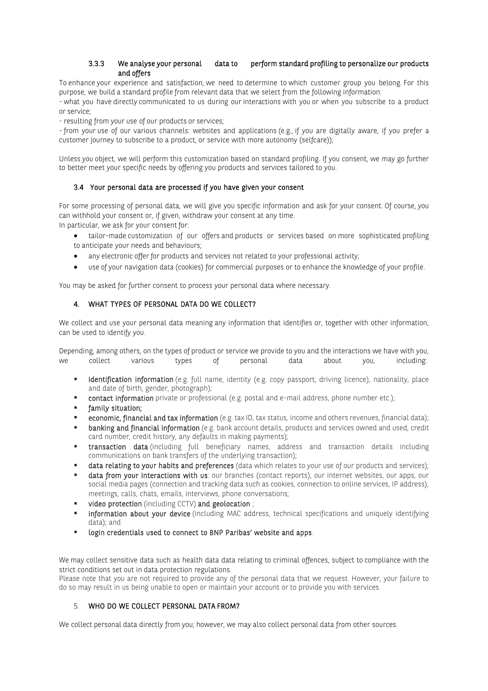## 3.3.3 We analyse your personal data to perform standard profiling to personalize our products and offers

To enhance your experience and satisfaction, we need to determine to which customer group you belong. For this purpose, we build a standard profile from relevant data that we select from the following information:

- what you have directly communicated to us during our interactions with you or when you subscribe to a product or service;

- resulting from your use of our products or services;

- from your use of our various channels: websites and applications (e.g., if you are digitally aware, if you prefer a customer journey to subscribe to a product, or service with more autonomy (selfcare));

Unless you object, we will perform this customization based on standard profiling. If you consent, we may go further to better meet your specific needs by offering you products and services tailored to you.

## 3.4 Your personal data are processed if you have given your consent

For some processing of personal data, we will give you specific information and ask for your consent. Of course, you can withhold your consent or, if given, withdraw your consent at any time.

In particular, we ask for your consent for:

- tailor-made customization of our offers and products or services based on more sophisticated profiling to anticipate your needs and behaviours;
- any electronic offer for products and services not related to your professional activity;
- use of your navigation data (cookies) for commercial purposes or to enhance the knowledge of your profile.

You may be asked for further consent to process your personal data where necessary.

## 4. WHAT TYPES OF PERSONAL DATA DO WE COLLECT?

We collect and use your personal data meaning any information that identifies or, together with other information, can be used to identify you.

Depending, among others, on the types of product or service we provide to you and the interactions we have with you, we collect various types of personal data about you, including:

- **E** identification information (e.g. full name, identity (e.g. copy passport, driving licence), nationality, place and date of birth, gender, photograph);
- **Contact information** private or professional (e.g. postal and e-mail address, phone number etc.);
- **family situation;**
- economic, financial and tax information (e.g. tax ID, tax status, income and others revenues, financial data);
- **E** banking and financial information (e.g. bank account details, products and services owned and used, credit card number, credit history, any defaults in making payments);
- **transaction data** (including full beneficiary names, address and transaction details including communications on bank transfers of the underlying transaction);
- data relating to your habits and preferences (data which relates to your use of our products and services);
- data from vour interactions with us: our branches (contact reports), our internet websites, our apps, our social media pages (connection and tracking data such as cookies, connection to online services, IP address), meetings, calls, chats, emails, interviews, phone conversations;
- video protection (including CCTV) and geolocation;
- **EXECT information about your device** (including MAC address, technical specifications and uniquely identifying data); and
- **EXECTE 10 Independent Login Login Exerc** to BNP Paribas' website and apps.

We may collect sensitive data such as health data data relating to criminal offences, subject to compliance with the strict conditions set out in data protection regulations.

Please note that you are not required to provide any of the personal data that we request. However, your failure to do so may result in us being unable to open or maintain your account or to provide you with services.

# 5. WHO DO WE COLLECT PERSONAL DATA FROM?

We collect personal data directly from you; however, we may also collect personal data from other sources.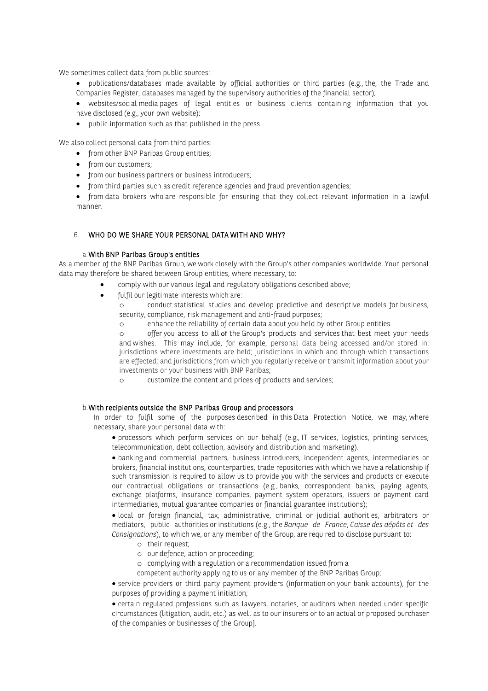We sometimes collect data from public sources:

- publications/databases made available by official authorities or third parties (e.g., the, the Trade and Companies Register, databases managed by the supervisory authorities of the financial sector);
- websites/social media pages of legal entities or business clients containing information that you have disclosed (e.g., your own website);
- public information such as that published in the press.

We also collect personal data from third parties:

- from other BNP Paribas Group entities;
- from our customers:
- from our business partners or business introducers;
- from third parties such as credit reference agencies and fraud prevention agencies;
- from data brokers who are responsible for ensuring that they collect relevant information in a lawful manner.

## 6. WHO DO WE SHARE YOUR PERSONAL DATA WITH AND WHY?

#### a.With BNP Paribas Group's entities

As a member of the BNP Paribas Group, we work closely with the Group's other companies worldwide. Your personal data may therefore be shared between Group entities, where necessary, to:

- comply with our various legal and regulatory obligations described above;
- fulfil our legitimate interests which are:
	- o conduct statistical studies and develop predictive and descriptive models for business, security, compliance, risk management and anti-fraud purposes;
	- o enhance the reliability of certain data about you held by other Group entities

offer you access to all of the Group's products and services that best meet your needs and wishes. This may include, for example, personal data being accessed and/or stored in: jurisdictions where investments are held; jurisdictions in which and through which transactions are effected; and jurisdictions from which you regularly receive or transmit information about your investments or your business with BNP Paribas;

o customize the content and prices of products and services;

#### b.With recipients outside the BNP Paribas Group and processors

In order to fulfil some of the purposes described in this Data Protection Notice, we may, where necessary, share your personal data with:

• processors which perform services on our behalf (e.g., IT services, logistics, printing services, telecommunication, debt collection, advisory and distribution and marketing).

• banking and commercial partners, business introducers, independent agents, intermediaries or brokers, financial institutions, counterparties, trade repositories with which we have a relationship if such transmission is required to allow us to provide you with the services and products or execute our contractual obligations or transactions (e.g., banks, correspondent banks, paying agents, exchange platforms, insurance companies, payment system operators, issuers or payment card intermediaries, mutual guarantee companies or financial guarantee institutions);

• local or foreign financial, tax, administrative, criminal or judicial authorities, arbitrators or mediators, public authorities or institutions (e.g., the *Banque de France*, *Caisse des dépôts et des Consignations*), to which we, or any member of the Group, are required to disclose pursuant to:

- o their request;
- o our defence, action or proceeding;
- o complying with a regulation or a recommendation issued from a
- competent authority applying to us or any member of the BNP Paribas Group;

• service providers or third party payment providers (information on your bank accounts), for the purposes of providing a payment initiation;

• certain regulated professions such as lawyers, notaries, or auditors when needed under specific circumstances (litigation, audit, etc.) as well as to our insurers or to an actual or proposed purchaser of the companies or businesses of the Group].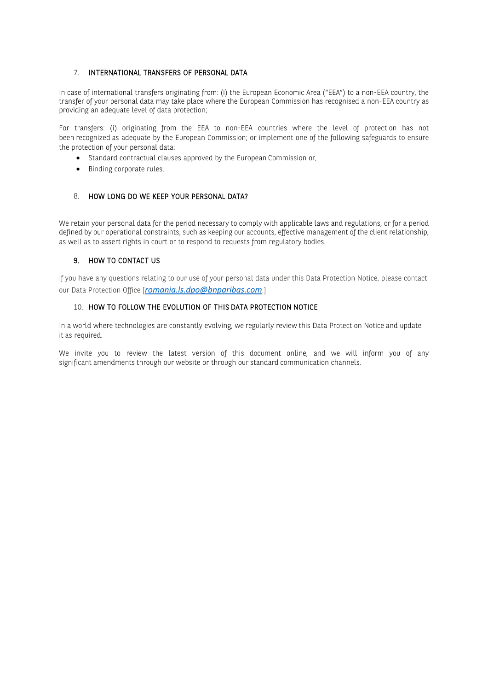## 7. INTERNATIONAL TRANSFERS OF PERSONAL DATA

In case of international transfers originating from: (i) the European Economic Area ("EEA") to a non-EEA country, the transfer of your personal data may take place where the European Commission has recognised a non-EEA country as providing an adequate level of data protection;

For transfers: (i) originating from the EEA to non-EEA countries where the level of protection has not been recognized as adequate by the European Commission; or implement one of the following safeguards to ensure the protection of your personal data:

- Standard contractual clauses approved by the European Commission or,
- Binding corporate rules.

# 8. HOW LONG DO WE KEEP YOUR PERSONAL DATA?

We retain your personal data for the period necessary to comply with applicable laws and regulations, or for a period defined by our operational constraints, such as keeping our accounts, effective management of the client relationship, as well as to assert rights in court or to respond to requests from regulatory bodies.

## 9. HOW TO CONTACT US

If you have any questions relating to our use of your personal data under this Data Protection Notice, please contact our Data Protection Office [*romania.ls.dpo@bnparibas.com*.]

## 10. HOW TO FOLLOW THE EVOLUTION OF THIS DATA PROTECTION NOTICE

In a world where technologies are constantly evolving, we regularly review this Data Protection Notice and update it as required.

We invite you to review the latest version of this document online, and we will inform you of any significant amendments through our website or through our standard communication channels.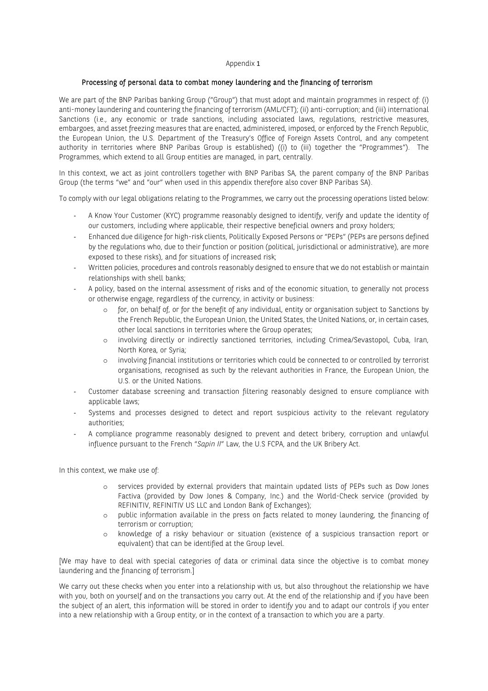#### Appendix 1

#### Processing of personal data to combat money laundering and the financing of terrorism

We are part of the BNP Paribas banking Group ("Group") that must adopt and maintain programmes in respect of: (i) anti-money laundering and countering the financing of terrorism (AML/CFT); (ii) anti-corruption; and (iii) international Sanctions (i.e., any economic or trade sanctions, including associated laws, regulations, restrictive measures, embargoes, and asset freezing measures that are enacted, administered, imposed, or enforced by the French Republic, the European Union, the U.S. Department of the Treasury's Office of Foreign Assets Control, and any competent authority in territories where BNP Paribas Group is established) ((i) to (iii) together the "Programmes"). The Programmes, which extend to all Group entities are managed, in part, centrally.

In this context, we act as joint controllers together with BNP Paribas SA, the parent company of the BNP Paribas Group (the terms "we" and "our" when used in this appendix therefore also cover BNP Paribas SA).

To comply with our legal obligations relating to the Programmes, we carry out the processing operations listed below:

- A Know Your Customer (KYC) programme reasonably designed to identify, verify and update the identity of our customers, including where applicable, their respective beneficial owners and proxy holders;
- Enhanced due diligence for high-risk clients, Politically Exposed Persons or "PEPs" (PEPs are persons defined by the regulations who, due to their function or position (political, jurisdictional or administrative), are more exposed to these risks), and for situations of increased risk;
- Written policies, procedures and controls reasonably designed to ensure that we do not establish or maintain relationships with shell banks;
- A policy, based on the internal assessment of risks and of the economic situation, to generally not process or otherwise engage, regardless of the currency, in activity or business:
	- o for, on behalf of, or for the benefit of any individual, entity or organisation subject to Sanctions by the French Republic, the European Union, the United States, the United Nations, or, in certain cases, other local sanctions in territories where the Group operates;
	- o involving directly or indirectly sanctioned territories, including Crimea/Sevastopol, Cuba, Iran, North Korea, or Syria;
	- o involving financial institutions or territories which could be connected to or controlled by terrorist organisations, recognised as such by the relevant authorities in France, the European Union, the U.S. or the United Nations.
- Customer database screening and transaction filtering reasonably designed to ensure compliance with applicable laws;
- Systems and processes designed to detect and report suspicious activity to the relevant regulatory authorities;
- A compliance programme reasonably designed to prevent and detect bribery, corruption and unlawful influence pursuant to the French "*Sapin II*" Law, the U.S FCPA, and the UK Bribery Act.

In this context, we make use of:

- o services provided by external providers that maintain updated lists of PEPs such as Dow Jones Factiva (provided by Dow Jones & Company, Inc.) and the World-Check service (provided by REFINITIV, REFINITIV US LLC and London Bank of Exchanges);
- o public information available in the press on facts related to money laundering, the financing of terrorism or corruption;
- o knowledge of a risky behaviour or situation (existence of a suspicious transaction report or equivalent) that can be identified at the Group level.

[We may have to deal with special categories of data or criminal data since the objective is to combat money laundering and the financing of terrorism.]

We carry out these checks when you enter into a relationship with us, but also throughout the relationship we have with you, both on yourself and on the transactions you carry out. At the end of the relationship and if you have been the subject of an alert, this information will be stored in order to identify you and to adapt our controls if you enter into a new relationship with a Group entity, or in the context of a transaction to which you are a party.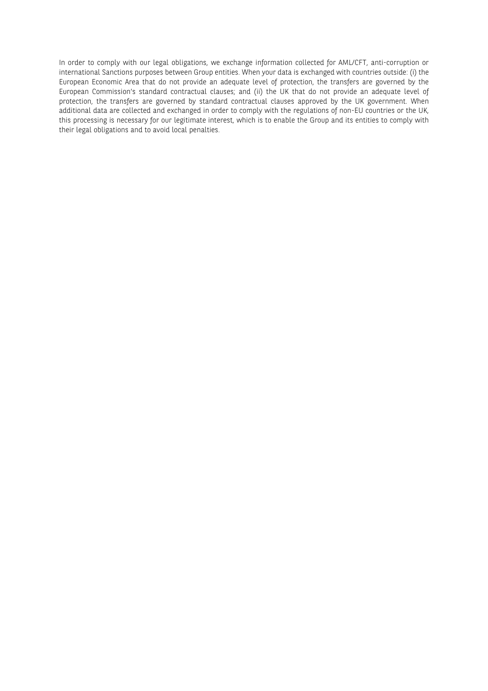In order to comply with our legal obligations, we exchange information collected for AML/CFT, anti-corruption or international Sanctions purposes between Group entities. When your data is exchanged with countries outside: (i) the European Economic Area that do not provide an adequate level of protection, the transfers are governed by the European Commission's standard contractual clauses; and (ii) the UK that do not provide an adequate level of protection, the transfers are governed by standard contractual clauses approved by the UK government. When additional data are collected and exchanged in order to comply with the regulations of non-EU countries or the UK, this processing is necessary for our legitimate interest, which is to enable the Group and its entities to comply with their legal obligations and to avoid local penalties.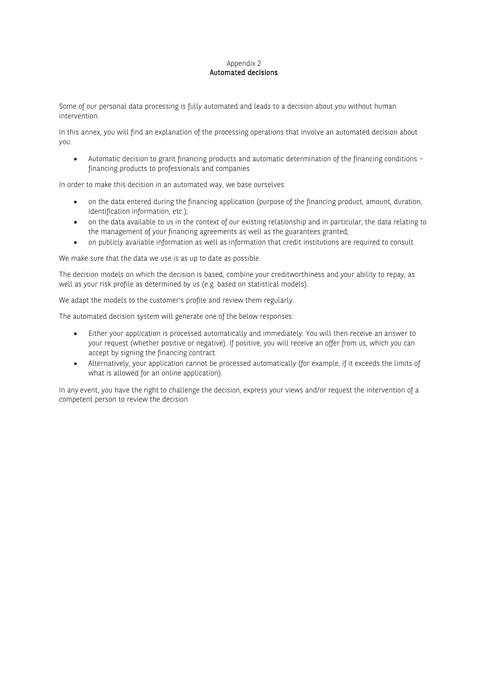#### Appendix 2 Automated decisions

Some of our personal data processing is fully automated and leads to a decision about you without human intervention.

In this annex, you will find an explanation of the processing operations that involve an automated decision about you.

• Automatic decision to grant financing products and automatic determination of the financing conditions – financing products to professionals and companies

In order to make this decision in an automated way, we base ourselves:

- on the data entered during the financing application (purpose of the financing product, amount, duration, identification information, etc.);
- on the data available to us in the context of our existing relationship and in particular, the data relating to the management of your financing agreements as well as the guarantees granted;
- on publicly available information as well as information that credit institutions are required to consult.

We make sure that the data we use is as up to date as possible.

The decision models on which the decision is based, combine your creditworthiness and your ability to repay, as well as your risk profile as determined by us (e.g. based on statistical models).

We adapt the models to the customer's profile and review them regularly.

The automated decision system will generate one of the below responses:

- Either your application is processed automatically and immediately. You will then receive an answer to your request (whether positive or negative). If positive, you will receive an offer from us, which you can accept by signing the financing contract.
- Alternatively, your application cannot be processed automatically (for example, if it exceeds the limits of what is allowed for an online application).

In any event, you have the right to challenge the decision, express your views and/or request the intervention of a competent person to review the decision.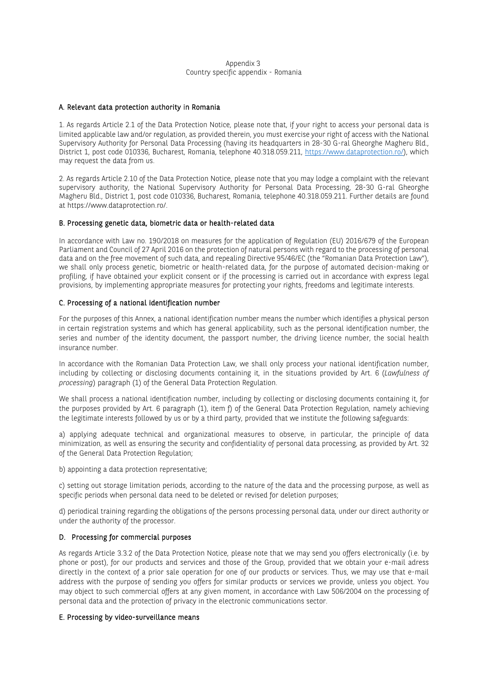#### Appendix 3 Country specific appendix - Romania

#### A. Relevant data protection authority in Romania

1. As regards Article 2.1 of the Data Protection Notice, please note that, if your right to access your personal data is limited applicable law and/or regulation, as provided therein, you must exercise your right of access with the National Supervisory Authority for Personal Data Processing (having its headquarters in 28-30 G-ral Gheorghe Magheru Bld., District 1, post code 010336, Bucharest, Romania, telephone 40.318.059.211, [https://www.dataprotection.ro/\)](https://www.dataprotection.ro/), which may request the data from us.

2. As regards Article 2.10 of the Data Protection Notice, please note that you may lodge a complaint with the relevant supervisory authority, the National Supervisory Authority for Personal Data Processing, 28-30 G-ral Gheorghe Magheru Bld., District 1, post code 010336, Bucharest, Romania, telephone 40.318.059.211. Further details are found at https://www.dataprotection.ro/.

#### B. Processing genetic data, biometric data or health-related data

In accordance with Law no. 190/2018 on measures for the application of Regulation (EU) 2016/679 of the European Parliament and Council of 27 April 2016 on the protection of natural persons with regard to the processing of personal data and on the free movement of such data, and repealing Directive 95/46/EC (the "Romanian Data Protection Law"), we shall only process genetic, biometric or health-related data, for the purpose of automated decision-making or profiling, if have obtained your explicit consent or if the processing is carried out in accordance with express legal provisions, by implementing appropriate measures for protecting your rights, freedoms and legitimate interests.

#### C. Processing of a national identification number

For the purposes of this Annex, a national identification number means the number which identifies a physical person in certain registration systems and which has general applicability, such as the personal identification number, the series and number of the identity document, the passport number, the driving licence number, the social health insurance number.

In accordance with the Romanian Data Protection Law, we shall only process your national identification number, including by collecting or disclosing documents containing it, in the situations provided by Art. 6 (*Lawfulness of processing*) paragraph (1) of the General Data Protection Regulation.

We shall process a national identification number, including by collecting or disclosing documents containing it, for the purposes provided by Art. 6 paragraph (1), item f) of the General Data Protection Regulation, namely achieving the legitimate interests followed by us or by a third party, provided that we institute the following safeguards:

a) applying adequate technical and organizational measures to observe, in particular, the principle of data minimization, as well as ensuring the security and confidentiality of personal data processing, as provided by Art. 32 of the General Data Protection Regulation;

b) appointing a data protection representative;

c) setting out storage limitation periods, according to the nature of the data and the processing purpose, as well as specific periods when personal data need to be deleted or revised for deletion purposes;

d) periodical training regarding the obligations of the persons processing personal data, under our direct authority or under the authority of the processor.

#### D. Processing for commercial purposes

As regards Article 3.3.2 of the Data Protection Notice, please note that we may send you offers electronically (i.e. by phone or post), for our products and services and those of the Group, provided that we obtain your e-mail adress directly in the context of a prior sale operation for one of our products or services. Thus, we may use that e-mail address with the purpose of sending you offers for similar products or services we provide, unless you object. You may object to such commercial offers at any given moment, in accordance with Law 506/2004 on the processing of personal data and the protection of privacy in the electronic communications sector.

#### E. Processing by video-surveillance means